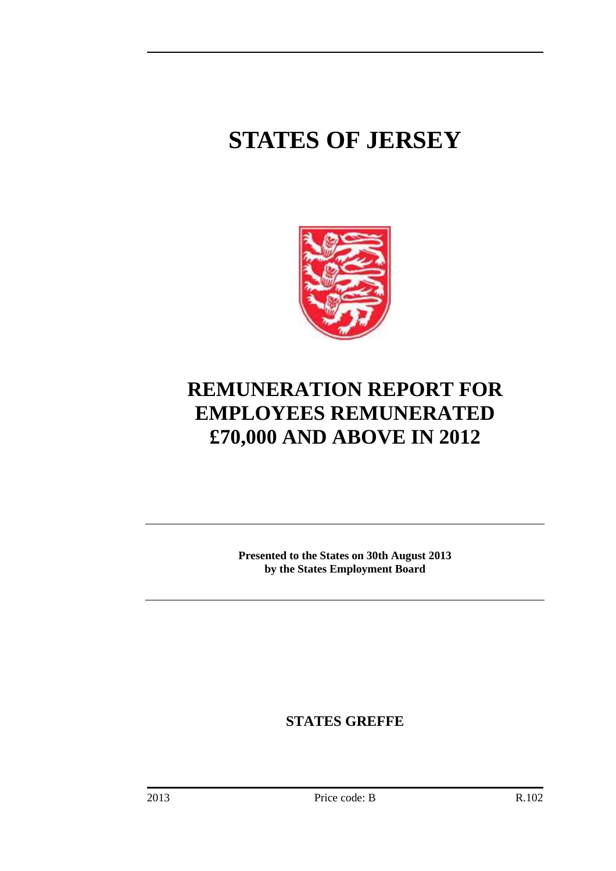# **STATES OF JERSEY**



## **REMUNERATION REPORT FOR EMPLOYEES REMUNERATED £70,000 AND ABOVE IN 2012**

**Presented to the States on 30th August 2013 by the States Employment Board** 

**STATES GREFFE**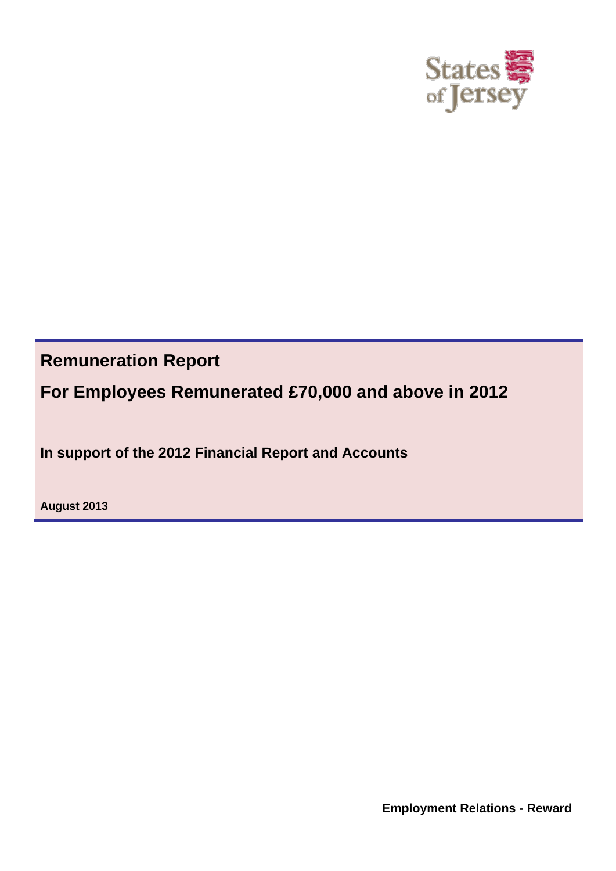

**Remuneration Report**

**For Employees Remunerated £70,000 and above in 2012**

**In support of the 2012 Financial Report and Accounts**

**August 2013**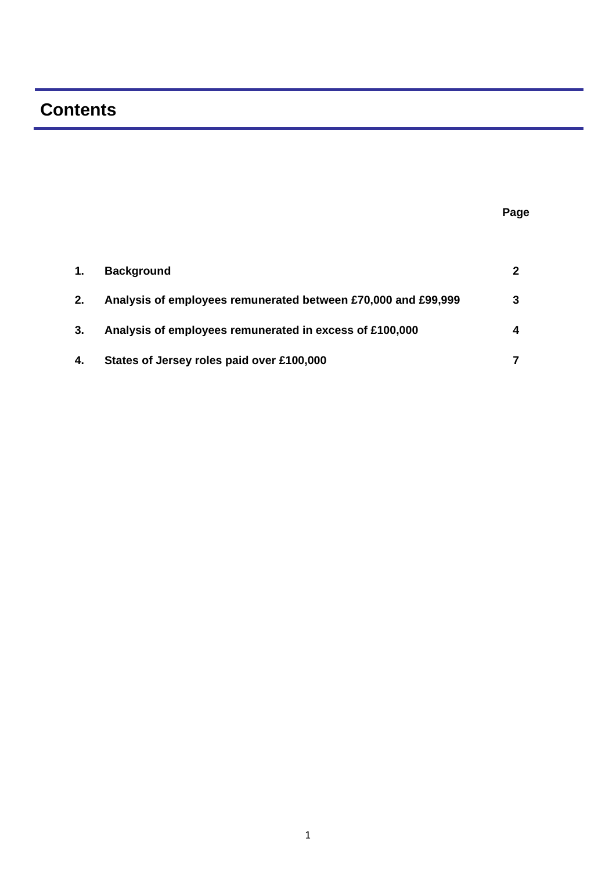### **Contents**

**Page** 

| 1. | <b>Background</b>                                             | $\mathbf{2}$ |
|----|---------------------------------------------------------------|--------------|
| 2. | Analysis of employees remunerated between £70,000 and £99,999 | 3            |
| 3. | Analysis of employees remunerated in excess of £100,000       | 4            |
| 4. | States of Jersey roles paid over £100,000                     |              |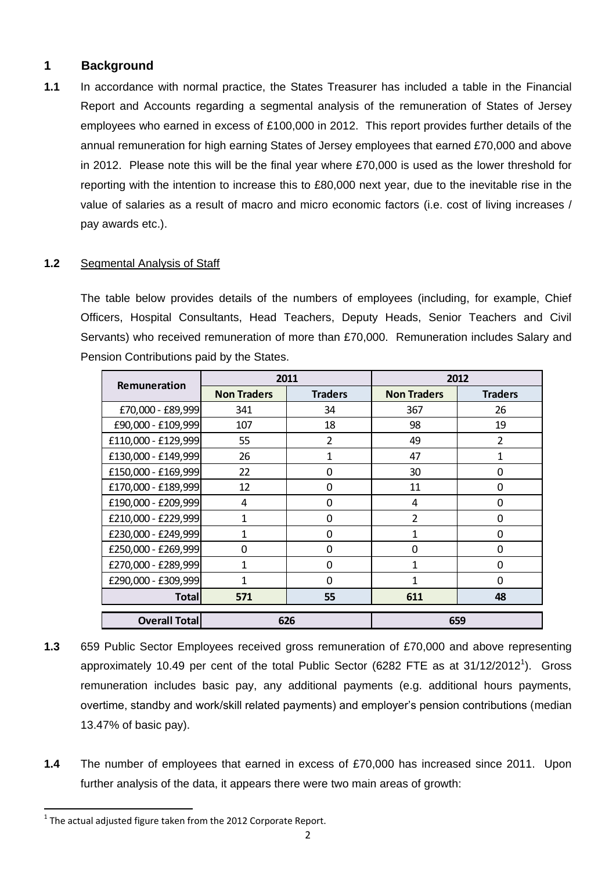#### **1 Background**

**1.1** In accordance with normal practice, the States Treasurer has included a table in the Financial Report and Accounts regarding a segmental analysis of the remuneration of States of Jersey employees who earned in excess of £100,000 in 2012. This report provides further details of the annual remuneration for high earning States of Jersey employees that earned £70,000 and above in 2012. Please note this will be the final year where £70,000 is used as the lower threshold for reporting with the intention to increase this to £80,000 next year, due to the inevitable rise in the value of salaries as a result of macro and micro economic factors (i.e. cost of living increases / pay awards etc.).

#### **1.2** Segmental Analysis of Staff

The table below provides details of the numbers of employees (including, for example, Chief Officers, Hospital Consultants, Head Teachers, Deputy Heads, Senior Teachers and Civil Servants) who received remuneration of more than £70,000. Remuneration includes Salary and Pension Contributions paid by the States.

|                      |                    | 2011           |                    | 2012           |
|----------------------|--------------------|----------------|--------------------|----------------|
| Remuneration         | <b>Non Traders</b> | <b>Traders</b> | <b>Non Traders</b> | <b>Traders</b> |
| £70,000 - £89,999    | 341                | 34             | 367                | 26             |
| £90,000 - £109,999   | 107                | 18             | 98                 | 19             |
| £110,000 - £129,999  | 55                 | $\overline{2}$ | 49                 | $\overline{2}$ |
| £130,000 - £149,999  | 26                 | 1              | 47                 | 1              |
| £150,000 - £169,999  | 22                 | $\Omega$       | 30                 | 0              |
| £170,000 - £189,999  | 12                 | $\Omega$       | 11                 | 0              |
| £190,000 - £209,999  | 4                  | $\Omega$       | 4                  | $\Omega$       |
| £210,000 - £229,999  | 1                  | 0              | $\overline{2}$     | $\Omega$       |
| £230,000 - £249,999  | 1                  | $\Omega$       | 1                  | 0              |
| £250,000 - £269,999  | $\Omega$           | $\Omega$       | 0                  | $\Omega$       |
| £270,000 - £289,999  | 1                  | $\Omega$       | 1                  | $\Omega$       |
| £290,000 - £309,999  | 1                  | $\Omega$       | 1                  | $\Omega$       |
| <b>Total</b>         | 571                | 55             | 611                | 48             |
| <b>Overall Total</b> | 626                |                |                    | 659            |

- **1.3** 659 Public Sector Employees received gross remuneration of £70,000 and above representing approximately 10.49 per cent of the total Public Sector (6282 FTE as at  $31/12/2012^1$ ). Gross remuneration includes basic pay, any additional payments (e.g. additional hours payments, overtime, standby and work/skill related payments) and employer's pension contributions (median 13.47% of basic pay).
- **1.4** The number of employees that earned in excess of £70,000 has increased since 2011. Upon further analysis of the data, it appears there were two main areas of growth:

 $\overline{\phantom{a}}$ 

 $^1$  The actual adjusted figure taken from the 2012 Corporate Report.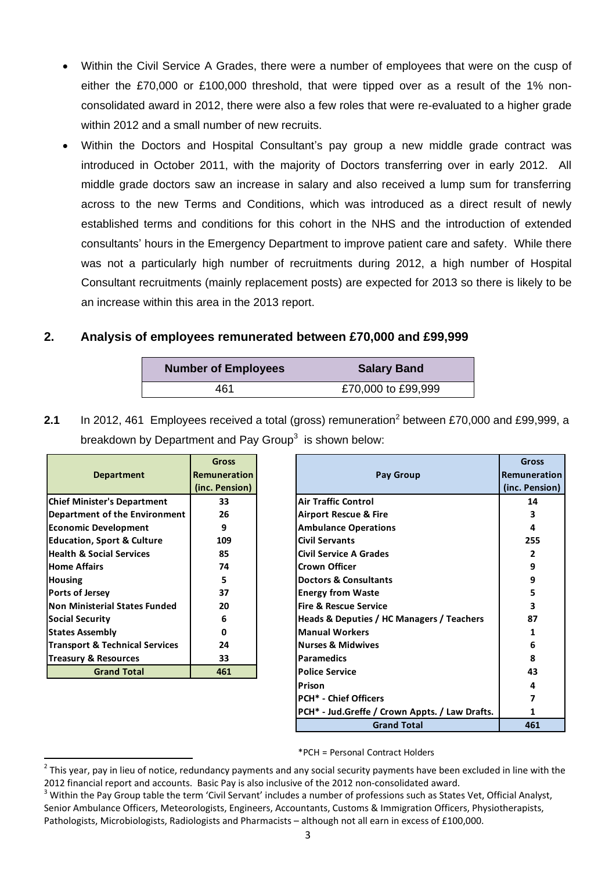- Within the Civil Service A Grades, there were a number of employees that were on the cusp of either the £70,000 or £100,000 threshold, that were tipped over as a result of the 1% nonconsolidated award in 2012, there were also a few roles that were re-evaluated to a higher grade within 2012 and a small number of new recruits.
- Within the Doctors and Hospital Consultant's pay group a new middle grade contract was introduced in October 2011, with the majority of Doctors transferring over in early 2012. All middle grade doctors saw an increase in salary and also received a lump sum for transferring across to the new Terms and Conditions, which was introduced as a direct result of newly established terms and conditions for this cohort in the NHS and the introduction of extended consultants' hours in the Emergency Department to improve patient care and safety. While there was not a particularly high number of recruitments during 2012, a high number of Hospital Consultant recruitments (mainly replacement posts) are expected for 2013 so there is likely to be an increase within this area in the 2013 report.

#### **2. Analysis of employees remunerated between £70,000 and £99,999**

| <b>Number of Employees</b> | <b>Salary Band</b> |
|----------------------------|--------------------|
| 461                        | £70,000 to £99,999 |

**2.1** In 2012, 461 Employees received a total (gross) remuneration<sup>2</sup> between £70,000 and £99,999, a breakdown by Department and Pay Group<sup>3</sup> is shown below:

|                                           | <b>Gross</b>        |                                                | Gross               |
|-------------------------------------------|---------------------|------------------------------------------------|---------------------|
| <b>Department</b>                         | <b>Remuneration</b> | Pay Group                                      | <b>Remuneration</b> |
|                                           | (inc. Pension)      |                                                | (inc. Pension)      |
| <b>Chief Minister's Department</b>        | 33                  | Air Traffic Control                            | 14                  |
| Department of the Environment             | 26                  | <b>Airport Rescue &amp; Fire</b>               |                     |
| <b>Economic Development</b>               | 9                   | <b>Ambulance Operations</b>                    | 4                   |
| <b>Education, Sport &amp; Culture</b>     | 109                 | <b>Civil Servants</b>                          | 255                 |
| <b>Health &amp; Social Services</b>       | 85                  | <b>Civil Service A Grades</b>                  | 2                   |
| <b>Home Affairs</b>                       | 74                  | <b>Crown Officer</b>                           | 9                   |
| <b>Housing</b>                            | 5.                  | <b>Doctors &amp; Consultants</b>               | 9                   |
| Ports of Jersey                           | 37                  | <b>Energy from Waste</b>                       | 5                   |
| <b>Non Ministerial States Funded</b>      | 20                  | <b>Fire &amp; Rescue Service</b>               | 3                   |
| <b>Social Security</b>                    | 6                   | Heads & Deputies / HC Managers / Teachers      | 87                  |
| <b>States Assembly</b>                    | 0                   | <b>Manual Workers</b>                          |                     |
| <b>Transport &amp; Technical Services</b> | 24                  | <b>Nurses &amp; Midwives</b>                   | 6                   |
| Treasury & Resources                      | 33                  | <b>Paramedics</b>                              | 8                   |
| <b>Grand Total</b>                        | 461                 | <b>Police Service</b>                          | 43                  |
|                                           |                     | Prison                                         | 4                   |
|                                           |                     | <b>PCH* - Chief Officers</b>                   |                     |
|                                           |                     | PCH* - Jud.Greffe / Crown Appts. / Law Drafts. |                     |

\*PCH = Personal Contract Holders

**Grand Total 461**

 $\overline{a}$ 

 $^2$  This year, pay in lieu of notice, redundancy payments and any social security payments have been excluded in line with the 2012 financial report and accounts. Basic Pay is also inclusive of the 2012 non-consolidated award.

<sup>&</sup>lt;sup>3</sup> Within the Pav Group table the term 'Civil Servant' includes a number of professions such as States Vet, Official Analyst, Senior Ambulance Officers, Meteorologists, Engineers, Accountants, Customs & Immigration Officers, Physiotherapists, Pathologists, Microbiologists, Radiologists and Pharmacists – although not all earn in excess of £100,000.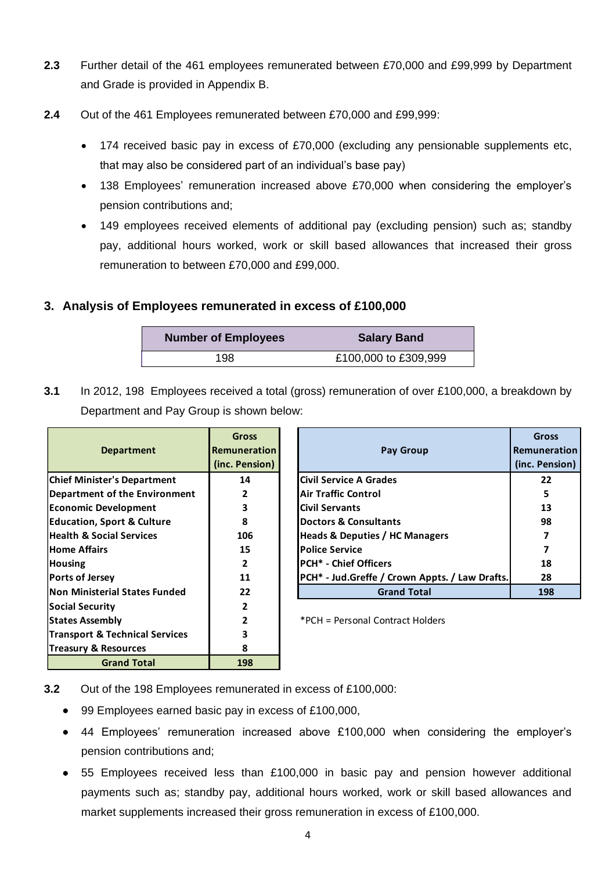- **2.3** Further detail of the 461 employees remunerated between £70,000 and £99,999 by Department and Grade is provided in Appendix B.
- **2.4** Out of the 461 Employees remunerated between £70,000 and £99,999:
	- 174 received basic pay in excess of £70,000 (excluding any pensionable supplements etc, that may also be considered part of an individual's base pay)
	- 138 Employees' remuneration increased above £70,000 when considering the employer's pension contributions and;
	- 149 employees received elements of additional pay (excluding pension) such as; standby pay, additional hours worked, work or skill based allowances that increased their gross remuneration to between £70,000 and £99,000.

#### **3. Analysis of Employees remunerated in excess of £100,000**

| <b>Number of Employees</b> | <b>Salary Band</b>   |
|----------------------------|----------------------|
| 198                        | £100,000 to £309,999 |

**3.1** In 2012, 198 Employees received a total (gross) remuneration of over £100,000, a breakdown by Department and Pay Group is shown below:

> **Gross Remuneration (inc. Pension)**

|                                           | <b>Gross</b>        |                                                | Gros      |
|-------------------------------------------|---------------------|------------------------------------------------|-----------|
| <b>Department</b>                         | <b>Remuneration</b> | <b>Pay Group</b>                               | Remuner   |
|                                           | (inc. Pension)      |                                                | (inc. Pen |
| <b>Chief Minister's Department</b>        | 14                  | <b>ICivil Service A Grades</b>                 | 22        |
| <b>Department of the Environment</b>      | 2                   | Air Traffic Control                            | 5         |
| <b>Economic Development</b>               | 3                   | <b>Civil Servants</b>                          | 13        |
| <b>Education, Sport &amp; Culture</b>     | 8                   | <b>IDoctors &amp; Consultants</b>              | 98        |
| <b>Health &amp; Social Services</b>       | 106                 | <b>Heads &amp; Deputies / HC Managers</b>      |           |
| <b>Home Affairs</b>                       | 15                  | <b>Police Service</b>                          | 7         |
| <b>Housing</b>                            | 2                   | <b>IPCH* - Chief Officers</b>                  | 18        |
| Ports of Jersey                           | 11                  | PCH* - Jud.Greffe / Crown Appts. / Law Drafts. | 28        |
| <b>Non Ministerial States Funded</b>      | 22                  | <b>Grand Total</b>                             | 198       |
| <b>Social Security</b>                    | 2                   |                                                |           |
| <b>States Assembly</b>                    | $\overline{2}$      | *PCH = Personal Contract Holders               |           |
| <b>Transport &amp; Technical Services</b> | 3                   |                                                |           |
| <b>Treasury &amp; Resources</b>           | 8                   |                                                |           |
| <b>Grand Total</b>                        | 198                 |                                                |           |

| 3.2 |  | Out of the 198 Employees remunerated in excess of £100,000: |  |
|-----|--|-------------------------------------------------------------|--|
|     |  |                                                             |  |

- 99 Employees earned basic pay in excess of £100,000,
- 44 Employees' remuneration increased above £100,000 when considering the employer's pension contributions and;
- 55 Employees received less than £100,000 in basic pay and pension however additional payments such as; standby pay, additional hours worked, work or skill based allowances and market supplements increased their gross remuneration in excess of £100,000.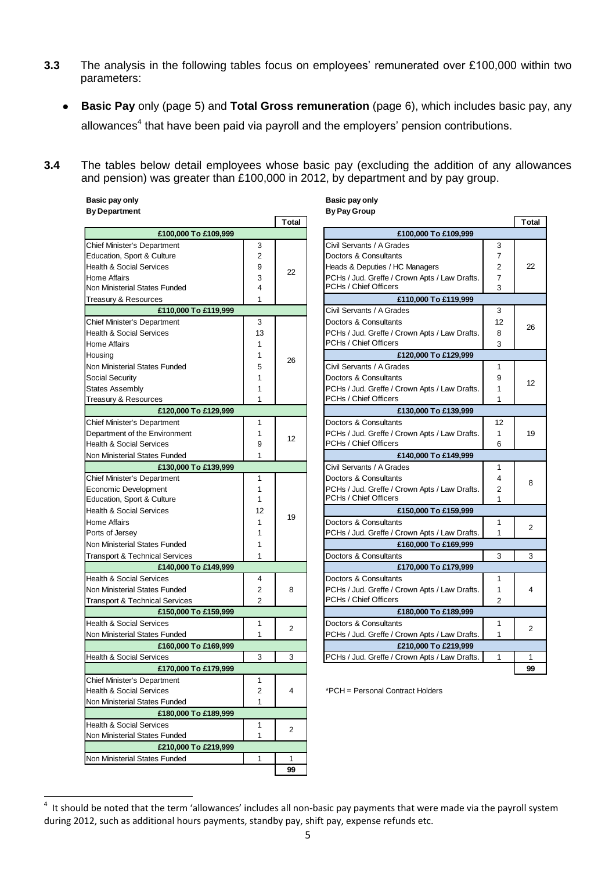- **3.3** The analysis in the following tables focus on employees' remunerated over £100,000 within two parameters:
	- **Basic Pay** only (page 5) and **Total Gross remuneration** (page 6), which includes basic pay, any allowances<sup>4</sup> that have been paid via payroll and the employers' pension contributions.
- **3.4** The tables below detail employees whose basic pay (excluding the addition of any allowances and pension) was greater than £100,000 in 2012, by department and by pay group.

| Basic pay only       | Basic pay only |
|----------------------|----------------|
| <b>By Department</b> | By Pay Group   |

|                                           |                | <b>Total</b> |                                               |                | Tot          |
|-------------------------------------------|----------------|--------------|-----------------------------------------------|----------------|--------------|
| £100,000 To £109,999                      |                |              | £100,000 To £109,999                          |                |              |
| Chief Minister's Department               | 3              |              | Civil Servants / A Grades                     | 3              |              |
| Education, Sport & Culture                | $\overline{2}$ |              | Doctors & Consultants                         | 7              |              |
| <b>Health &amp; Social Services</b>       | 9              | 22           | Heads & Deputies / HC Managers                | $\overline{2}$ | 22           |
| <b>Home Affairs</b>                       | 3              |              | PCHs / Jud. Greffe / Crown Apts / Law Drafts. | $\overline{7}$ |              |
| Non Ministerial States Funded             | 4              |              | PCHs / Chief Officers                         | 3              |              |
| Treasury & Resources                      | 1              |              | £110,000 To £119,999                          |                |              |
| £110,000 To £119,999                      |                |              | Civil Servants / A Grades                     | 3              |              |
| <b>Chief Minister's Department</b>        | 3              |              | Doctors & Consultants                         | 12             | 26           |
| <b>Health &amp; Social Services</b>       | 13             |              | PCHs / Jud. Greffe / Crown Apts / Law Drafts. | 8              |              |
| <b>Home Affairs</b>                       | 1              |              | PCHs / Chief Officers                         | 3              |              |
| Housing                                   | 1              | 26           | £120,000 To £129,999                          |                |              |
| Non Ministerial States Funded             | 5              |              | Civil Servants / A Grades                     | 1              |              |
| <b>Social Security</b>                    | 1              |              | Doctors & Consultants                         | 9              |              |
| <b>States Assembly</b>                    | 1              |              | PCHs / Jud. Greffe / Crown Apts / Law Drafts. | 1              | 12           |
| Treasury & Resources                      | 1              |              | PCHs / Chief Officers                         | 1              |              |
| £120,000 To £129,999                      |                |              | £130,000 To £139,999                          |                |              |
| <b>Chief Minister's Department</b>        | 1              |              | Doctors & Consultants                         | 12             |              |
| Department of the Environment             | 1              |              | PCHs / Jud. Greffe / Crown Apts / Law Drafts. | $\mathbf{1}$   | 19           |
| <b>Health &amp; Social Services</b>       | 9              | 12           | PCHs / Chief Officers                         | 6              |              |
| Non Ministerial States Funded             | 1              |              | £140,000 To £149,999                          |                |              |
| £130,000 To £139,999                      |                |              | Civil Servants / A Grades                     | 1              |              |
| <b>Chief Minister's Department</b>        | 1              |              | Doctors & Consultants                         | 4              | 8            |
| Economic Development                      | 1              |              | PCHs / Jud. Greffe / Crown Apts / Law Drafts. | 2              |              |
| Education, Sport & Culture                | 1              |              | PCHs / Chief Officers                         | 1              |              |
| <b>Health &amp; Social Services</b>       | 12             |              | £150,000 To £159,999                          |                |              |
| <b>Home Affairs</b>                       | 1              | 19           | Doctors & Consultants                         | 1              |              |
| Ports of Jersey                           | 1              |              | PCHs / Jud. Greffe / Crown Apts / Law Drafts  | $\mathbf{1}$   | 2            |
| Non Ministerial States Funded             | 1              |              | £160,000 To £169,999                          |                |              |
| <b>Transport &amp; Technical Services</b> | 1              |              | Doctors & Consultants                         | 3              | 3            |
| £140,000 To £149,999                      |                |              | £170,000 To £179,999                          |                |              |
| <b>Health &amp; Social Services</b>       | 4              |              | Doctors & Consultants                         | 1              |              |
| Non Ministerial States Funded             | $\overline{2}$ | 8            | PCHs / Jud. Greffe / Crown Apts / Law Drafts. | 1              | 4            |
| <b>Transport &amp; Technical Services</b> | $\overline{2}$ |              | PCHs / Chief Officers                         | 2              |              |
| £150,000 To £159,999                      |                |              | £180,000 To £189,999                          |                |              |
| <b>Health &amp; Social Services</b>       | 1              |              | Doctors & Consultants                         | 1              |              |
| Non Ministerial States Funded             | 1              | 2            | PCHs / Jud. Greffe / Crown Apts / Law Drafts. | $\mathbf{1}$   | 2            |
| £160,000 To £169,999                      |                |              | £210,000 To £219,999                          |                |              |
| <b>Health &amp; Social Services</b>       | 3              | 3            | PCHs / Jud. Greffe / Crown Apts / Law Drafts. | 1              | $\mathbf{1}$ |
| £170,000 To £179,999                      |                |              |                                               |                | 99           |
| Chief Minister's Department               | 1              |              |                                               |                |              |
| <b>Health &amp; Social Services</b>       | 2              | 4            | *PCH = Personal Contract Holders              |                |              |
| Non Ministerial States Funded             | 1              |              |                                               |                |              |
| £180,000 To £189,999                      |                |              |                                               |                |              |
| <b>Health &amp; Social Services</b>       | 1              | 2            |                                               |                |              |
| Non Ministerial States Funded             | 1              |              |                                               |                |              |
| £210,000 To £219,999                      |                |              |                                               |                |              |
| Non Ministerial States Funded             | 1              | 1            |                                               |                |              |
|                                           |                | 99           |                                               |                |              |

|              | <b>By Pay Group</b>                           |                |              |
|--------------|-----------------------------------------------|----------------|--------------|
| <b>Total</b> |                                               |                | <b>Total</b> |
|              | £100,000 To £109,999                          |                |              |
|              | Civil Servants / A Grades                     | 3              |              |
|              | Doctors & Consultants                         | 7              |              |
|              | Heads & Deputies / HC Managers                | $\overline{2}$ | 22           |
| 22           | PCHs / Jud. Greffe / Crown Apts / Law Drafts. | 7              |              |
|              | PCHs / Chief Officers                         | 3              |              |
|              | £110,000 To £119,999                          |                |              |
|              | Civil Servants / A Grades                     | 3              |              |
|              | Doctors & Consultants                         | 12             |              |
|              | PCHs / Jud. Greffe / Crown Apts / Law Drafts. | 8              | 26           |
|              | PCHs / Chief Officers                         | 3              |              |
|              | £120,000 To £129,999                          |                |              |
| 26           | Civil Servants / A Grades                     | 1              |              |
|              | Doctors & Consultants                         | 9              |              |
|              | PCHs / Jud. Greffe / Crown Apts / Law Drafts. | 1              | 12           |
|              | PCHs / Chief Officers                         | 1              |              |
|              | £130,000 To £139,999                          |                |              |
|              | Doctors & Consultants                         | 12             |              |
|              | PCHs / Jud. Greffe / Crown Apts / Law Drafts. | 1              | 19           |
| 12           | PCHs / Chief Officers                         | 6              |              |
|              | £140,000 To £149,999                          |                |              |
|              | Civil Servants / A Grades                     | 1              |              |
|              | Doctors & Consultants                         | 4              | 8            |
|              | PCHs / Jud. Greffe / Crown Apts / Law Drafts. | $\overline{2}$ |              |
|              | PCHs / Chief Officers                         | 1              |              |
| 19           | £150,000 To £159,999                          |                |              |
|              | Doctors & Consultants                         | 1              | 2            |
|              | PCHs / Jud. Greffe / Crown Apts / Law Drafts. | 1              |              |
|              | £160,000 To £169,999                          |                |              |
|              | Doctors & Consultants                         | 3              | 3            |
|              | £170,000 To £179,999                          |                |              |
|              | Doctors & Consultants                         | 1              |              |
| 8            | PCHs / Jud. Greffe / Crown Apts / Law Drafts. | 1              | 4            |
|              | PCHs / Chief Officers                         | 2              |              |
|              | £180,000 To £189,999                          |                |              |
| 2            | Doctors & Consultants                         | 1              | 2            |
|              | PCHs / Jud. Greffe / Crown Apts / Law Drafts. | 1              |              |
|              | £210,000 To £219,999                          |                |              |
| 3            | PCHs / Jud. Greffe / Crown Apts / Law Drafts. | 1              | 1            |
|              |                                               |                | 99           |

 4 It should be noted that the term 'allowances' includes all non-basic pay payments that were made via the payroll system during 2012, such as additional hours payments, standby pay, shift pay, expense refunds etc.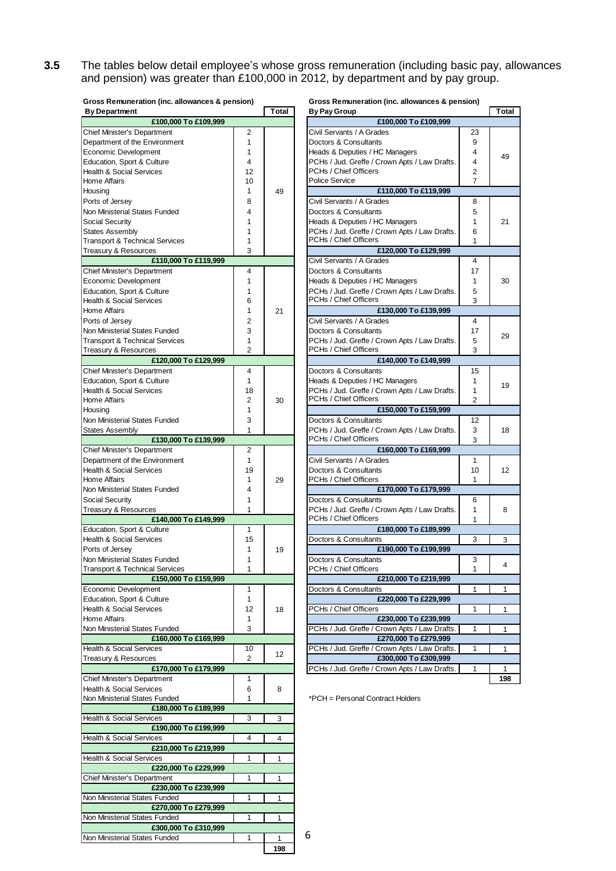**3.5** The tables below detail employee's whose gross remuneration (including basic pay, allowances and pension) was greater than £100,000 in 2012, by department and by pay group.

| Gross Remuneration (inc. allowances & pension) |                      |       | Gross Remuneration (inc. allowances & pension)                         |                |                 |
|------------------------------------------------|----------------------|-------|------------------------------------------------------------------------|----------------|-----------------|
| <b>By Department</b>                           |                      | Total | <b>By Pay Group</b>                                                    |                | Total           |
| £100,000 To £109,999                           |                      |       | £100,000 To £109,999                                                   |                |                 |
| <b>Chief Minister's Department</b>             | 2                    |       | Civil Servants / A Grades                                              | 23             |                 |
| Department of the Environment                  | 1                    |       | Doctors & Consultants                                                  | 9              |                 |
| Economic Development                           | 1                    |       | Heads & Deputies / HC Managers                                         | 4              | 49              |
| Education, Sport & Culture                     | $\overline{4}$       |       | PCHs / Jud. Greffe / Crown Apts / Law Drafts.                          | 4              |                 |
| <b>Health &amp; Social Services</b>            | 12                   |       | PCHs / Chief Officers                                                  | 2              |                 |
| Home Affairs                                   | 10                   |       | <b>Police Service</b>                                                  | $\overline{7}$ |                 |
| Housing                                        | $\mathbf{1}$         | 49    | £110,000 To £119,999                                                   |                |                 |
| Ports of Jersey                                | 8                    |       | Civil Servants / A Grades                                              | 8              |                 |
| Non Ministerial States Funded                  | 4                    |       | Doctors & Consultants                                                  | 5              |                 |
| Social Security                                | 1                    |       | Heads & Deputies / HC Managers                                         | 1              | 21              |
| <b>States Assembly</b>                         | 1                    |       | PCHs / Jud. Greffe / Crown Apts / Law Drafts.                          | 6              |                 |
| <b>Transport &amp; Technical Services</b>      | 1                    |       | PCHs / Chief Officers                                                  | 1              |                 |
|                                                | 3                    |       |                                                                        |                |                 |
| Treasury & Resources                           |                      |       | £120,000 To £129,999                                                   |                |                 |
| £110,000 To £119,999                           |                      |       | Civil Servants / A Grades                                              | 4              |                 |
| Chief Minister's Department                    | 4                    |       | Doctors & Consultants                                                  | 17             |                 |
| Economic Development                           | $\mathbf{1}$         |       | Heads & Deputies / HC Managers                                         | 1              | 30              |
| Education, Sport & Culture                     | 1                    |       | PCHs / Jud. Greffe / Crown Apts / Law Drafts.                          | 5              |                 |
| <b>Health &amp; Social Services</b>            | 6                    |       | PCHs / Chief Officers                                                  | 3              |                 |
| Home Affairs                                   | 1                    | 21    | £130,000 To £139,999                                                   |                |                 |
| Ports of Jersey                                | $\overline{2}$       |       | Civil Servants / A Grades                                              | 4              |                 |
| Non Ministerial States Funded                  | 3                    |       | Doctors & Consultants                                                  | 17             |                 |
| Transport & Technical Services                 | 1                    |       | PCHs / Jud. Greffe / Crown Apts / Law Drafts.                          | 5              | 29              |
| Treasury & Resources                           | $\overline{2}$       |       | PCHs / Chief Officers                                                  | 3              |                 |
| £120,000 To £129,999                           |                      |       | £140,000 To £149,999                                                   |                |                 |
| Chief Minister's Department                    | $\overline{4}$       |       | Doctors & Consultants                                                  | 15             |                 |
|                                                |                      |       |                                                                        |                |                 |
| Education, Sport & Culture                     | $\mathbf{1}$         |       | Heads & Deputies / HC Managers                                         | 1              | 19              |
| <b>Health &amp; Social Services</b>            | 18                   |       | PCHs / Jud. Greffe / Crown Apts / Law Drafts.                          | 1              |                 |
| Home Affairs                                   | $\overline{2}$       | 30    | PCHs / Chief Officers                                                  | 2              |                 |
| Housina                                        | 1                    |       | £150,000 To £159,999                                                   |                |                 |
| Non Ministerial States Funded                  | 3                    |       | Doctors & Consultants                                                  | 12             |                 |
| States Assembly                                | $\mathbf{1}$         |       | PCHs / Jud. Greffe / Crown Apts / Law Drafts.                          | 3              | 18              |
| £130,000 To £139,999                           |                      |       | PCHs / Chief Officers                                                  | 3              |                 |
| <b>Chief Minister's Department</b>             | $\overline{2}$       |       | £160,000 To £169,999                                                   |                |                 |
| Department of the Environment                  | $\mathbf{1}$         |       | Civil Servants / A Grades                                              | 1              |                 |
| <b>Health &amp; Social Services</b>            | 19                   |       | Doctors & Consultants                                                  | 10             | 12 <sup>°</sup> |
| Home Affairs                                   | 1                    | 29    | PCHs / Chief Officers                                                  | 1              |                 |
| Non Ministerial States Funded                  | 4                    |       | £170,000 To £179,999                                                   |                |                 |
| <b>Social Security</b>                         | 1                    |       | Doctors & Consultants                                                  | 6              |                 |
|                                                | 1                    |       |                                                                        | 1              |                 |
| Treasury & Resources                           |                      |       | PCHs / Jud. Greffe / Crown Apts / Law Drafts.<br>PCHs / Chief Officers |                | 8               |
| £140,000 To £149,999                           |                      |       |                                                                        | 1              |                 |
| Education, Sport & Culture                     | $\mathbf{1}$         |       | £180,000 To £189,999                                                   |                |                 |
| <b>Health &amp; Social Services</b>            | 15                   |       | Doctors & Consultants                                                  | 3              | 3               |
| Ports of Jersey                                | 1                    | 19    | £190,000 To £199,999                                                   |                |                 |
| Non Ministerial States Funded                  | 1                    |       | Doctors & Consultants                                                  | 3              | 4               |
| <b>Transport &amp; Technical Services</b>      | 1                    |       | PCHs / Chief Officers                                                  | 1              |                 |
| £150,000 To £159,999                           |                      |       | £210,000 To £219,999                                                   |                |                 |
| Economic Development                           | 1                    |       | Doctors & Consultants                                                  | 1              | 1               |
| Education, Sport & Culture                     | 1                    |       | £220,000 To £229,999                                                   |                |                 |
| <b>Health &amp; Social Services</b>            | 12                   | 18    | PCHs / Chief Officers                                                  | 1              | 1               |
| Home Affairs                                   | 1                    |       | £230,000 To £239,999                                                   |                |                 |
| Non Ministerial States Funded                  | 3                    |       | PCHs / Jud. Greffe / Crown Apts / Law Drafts.                          | 1              | 1               |
| £160,000 To £169,999                           |                      |       | £270,000 To £279,999                                                   |                |                 |
| <b>Health &amp; Social Services</b>            |                      |       | PCHs / Jud. Greffe / Crown Apts / Law Drafts.                          | 1              |                 |
| Treasury & Resources                           | 10<br>$\overline{2}$ | 12    | £300,000 To £309,999                                                   |                | 1               |
|                                                |                      |       |                                                                        |                |                 |
| £170,000 To £179,999                           |                      |       | PCHs / Jud. Greffe / Crown Apts / Law Drafts.                          | 1              | 1               |
| <b>Chief Minister's Department</b>             | 1                    |       |                                                                        |                | 198             |
| <b>Health &amp; Social Services</b>            | 6                    | 8     |                                                                        |                |                 |
| Non Ministerial States Funded                  | 1                    |       | *PCH = Personal Contract Holders                                       |                |                 |
| £180,000 To £189,999                           |                      |       |                                                                        |                |                 |
| <b>Health &amp; Social Services</b>            | 3                    | 3     |                                                                        |                |                 |
| £190,000 To £199,999                           |                      |       |                                                                        |                |                 |
| <b>Health &amp; Social Services</b>            | 4                    | 4     |                                                                        |                |                 |
| £210,000 To £219,999                           |                      |       |                                                                        |                |                 |
| Health & Social Services                       | 1                    | 1     |                                                                        |                |                 |
| £220,000 To £229,999                           |                      |       |                                                                        |                |                 |
| <b>Chief Minister's Department</b>             | 1                    | 1     |                                                                        |                |                 |
| £230,000 To £239,999                           |                      |       |                                                                        |                |                 |
| Non Ministerial States Funded                  |                      |       |                                                                        |                |                 |
|                                                | 1                    | 1     |                                                                        |                |                 |
| £270,000 To £279,999                           |                      |       |                                                                        |                |                 |
| Non Ministerial States Funded                  | $\mathbf{1}$         | 1     |                                                                        |                |                 |

Non Ministerial States Funded 1 1 1 1

**£300,000 To £310,999**

| <b>By Pay Group</b>                           |    | Total |  |  |
|-----------------------------------------------|----|-------|--|--|
| £100,000 To £109,999                          |    |       |  |  |
| Civil Servants / A Grades                     | 23 |       |  |  |
| Doctors & Consultants                         | 9  |       |  |  |
| Heads & Deputies / HC Managers                | 4  |       |  |  |
| PCHs / Jud. Greffe / Crown Apts / Law Drafts. | 4  | 49    |  |  |
| PCHs / Chief Officers                         | 2  |       |  |  |
| Police Service                                | 7  |       |  |  |
| £110,000 To £119,999                          |    |       |  |  |
| Civil Servants / A Grades                     | 8  |       |  |  |
| Doctors & Consultants                         |    |       |  |  |
|                                               | 5  |       |  |  |
| Heads & Deputies / HC Managers                | 1  | 21    |  |  |
| PCHs / Jud. Greffe / Crown Apts / Law Drafts. | 6  |       |  |  |
| PCHs / Chief Officers                         | 1  |       |  |  |
| £120,000 To £129,999                          |    |       |  |  |
| Civil Servants / A Grades                     | 4  |       |  |  |
| Doctors & Consultants                         | 17 |       |  |  |
| Heads & Deputies / HC Managers                | 1  | 30    |  |  |
| PCHs / Jud. Greffe / Crown Apts / Law Drafts. | 5  |       |  |  |
| PCHs / Chief Officers                         | 3  |       |  |  |
| £130,000 To £139,999                          |    |       |  |  |
| Civil Servants / A Grades                     | 4  |       |  |  |
| Doctors & Consultants                         | 17 | 29    |  |  |
| PCHs / Jud. Greffe / Crown Apts / Law Drafts. | 5  |       |  |  |
| PCHs / Chief Officers                         | 3  |       |  |  |
| £140,000 To £149,999                          |    |       |  |  |
| Doctors & Consultants                         | 15 |       |  |  |
| Heads & Deputies / HC Managers                | 1  |       |  |  |
| PCHs / Jud. Greffe / Crown Apts / Law Drafts. | 1  | 19    |  |  |
| PCHs / Chief Officers                         | 2  |       |  |  |
| £150,000 To £159,999                          |    |       |  |  |
| Doctors & Consultants                         | 12 |       |  |  |
| PCHs / Jud. Greffe / Crown Apts / Law Drafts. | 3  | 18    |  |  |
| PCHs / Chief Officers                         | 3  |       |  |  |
| £160,000 To £169,999                          |    |       |  |  |
| Civil Servants / A Grades                     | 1  |       |  |  |
| Doctors & Consultants                         | 10 | 12    |  |  |
| PCHs / Chief Officers                         | 1  |       |  |  |
| £170,000 To £179,999                          |    |       |  |  |
| Doctors & Consultants                         | 6  |       |  |  |
| PCHs / Jud. Greffe / Crown Apts / Law Drafts. | 1  | 8     |  |  |
| PCHs / Chief Officers                         | 1  |       |  |  |
| £180,000 To £189,999                          |    |       |  |  |
| Doctors & Consultants                         | 3  | 3     |  |  |
| £190,000 To £199,999                          |    |       |  |  |
| Doctors & Consultants                         | 3  |       |  |  |
| PCHs / Chief Officers                         | 1  | 4     |  |  |
| £210,000 To £219,999                          |    |       |  |  |
| Doctors & Consultants                         | 1  | 1     |  |  |
| £220,000 To £229,999                          |    |       |  |  |
| PCHs / Chief Officers                         | 1  | 1     |  |  |
| £230,000 To £239,999                          |    |       |  |  |
| PCHs / Jud. Greffe / Crown Apts / Law Drafts. | 1  | 1     |  |  |
| £270,000 To £279,999                          |    |       |  |  |
| PCHs / Jud. Greffe / Crown Apts / Law Drafts. | 1  | 1     |  |  |
| £300,000 To £309,999                          |    |       |  |  |
| PCHs / Jud. Greffe / Crown Apts / Law Drafts. | 1  | 1     |  |  |
|                                               |    | 198   |  |  |

**198**